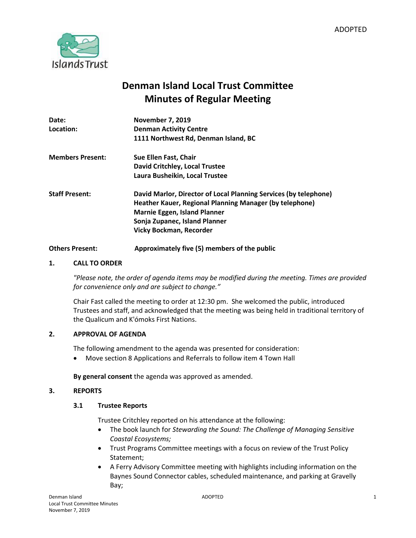

# **Denman Island Local Trust Committee Minutes of Regular Meeting**

| Date:                   | <b>November 7, 2019</b>                                                                                                     |
|-------------------------|-----------------------------------------------------------------------------------------------------------------------------|
| Location:               | <b>Denman Activity Centre</b>                                                                                               |
|                         | 1111 Northwest Rd, Denman Island, BC                                                                                        |
| <b>Members Present:</b> | Sue Ellen Fast, Chair                                                                                                       |
|                         | David Critchley, Local Trustee                                                                                              |
|                         | Laura Busheikin, Local Trustee                                                                                              |
| <b>Staff Present:</b>   | David Marlor, Director of Local Planning Services (by telephone)<br>Heather Kauer, Regional Planning Manager (by telephone) |
|                         | <b>Marnie Eggen, Island Planner</b>                                                                                         |
|                         | Sonja Zupanec, Island Planner                                                                                               |
|                         | <b>Vicky Bockman, Recorder</b>                                                                                              |
|                         |                                                                                                                             |

# **Others Present: Approximately five (5) members of the public**

# **1. CALL TO ORDER**

*"Please note, the order of agenda items may be modified during the meeting. Times are provided for convenience only and are subject to change."*

Chair Fast called the meeting to order at 12:30 pm. She welcomed the public, introduced Trustees and staff, and acknowledged that the meeting was being held in traditional territory of the Qualicum and K'ómoks First Nations.

## **2. APPROVAL OF AGENDA**

The following amendment to the agenda was presented for consideration:

Move section 8 Applications and Referrals to follow item 4 Town Hall

**By general consent** the agenda was approved as amended.

## **3. REPORTS**

## **3.1 Trustee Reports**

Trustee Critchley reported on his attendance at the following:

- The book launch for *Stewarding the Sound: The Challenge of Managing Sensitive Coastal Ecosystems;*
- Trust Programs Committee meetings with a focus on review of the Trust Policy Statement;
- A Ferry Advisory Committee meeting with highlights including information on the Baynes Sound Connector cables, scheduled maintenance, and parking at Gravelly Bay;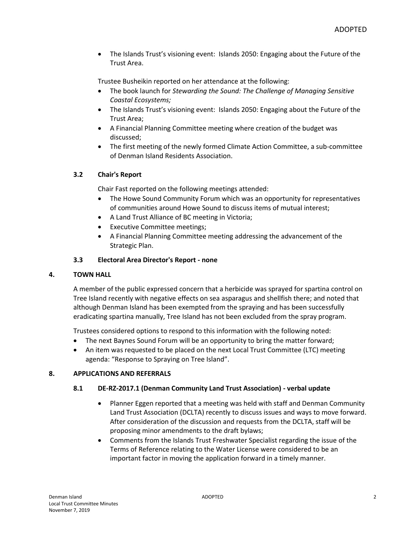The Islands Trust's visioning event: Islands 2050: Engaging about the Future of the Trust Area.

Trustee Busheikin reported on her attendance at the following:

- The book launch for *Stewarding the Sound: The Challenge of Managing Sensitive Coastal Ecosystems;*
- The Islands Trust's visioning event: Islands 2050: Engaging about the Future of the Trust Area;
- A Financial Planning Committee meeting where creation of the budget was discussed;
- The first meeting of the newly formed Climate Action Committee, a sub-committee of Denman Island Residents Association.

# **3.2 Chair's Report**

Chair Fast reported on the following meetings attended:

- The Howe Sound Community Forum which was an opportunity for representatives of communities around Howe Sound to discuss items of mutual interest;
- A Land Trust Alliance of BC meeting in Victoria;
- Executive Committee meetings;
- A Financial Planning Committee meeting addressing the advancement of the Strategic Plan.

# **3.3 Electoral Area Director's Report - none**

## **4. TOWN HALL**

A member of the public expressed concern that a herbicide was sprayed for spartina control on Tree Island recently with negative effects on sea asparagus and shellfish there; and noted that although Denman Island has been exempted from the spraying and has been successfully eradicating spartina manually, Tree Island has not been excluded from the spray program.

Trustees considered options to respond to this information with the following noted:

- The next Baynes Sound Forum will be an opportunity to bring the matter forward;
- An item was requested to be placed on the next Local Trust Committee (LTC) meeting agenda: "Response to Spraying on Tree Island".

# **8. APPLICATIONS AND REFERRALS**

## **8.1 DE-RZ-2017.1 (Denman Community Land Trust Association) - verbal update**

- Planner Eggen reported that a meeting was held with staff and Denman Community Land Trust Association (DCLTA) recently to discuss issues and ways to move forward. After consideration of the discussion and requests from the DCLTA, staff will be proposing minor amendments to the draft bylaws;
- Comments from the Islands Trust Freshwater Specialist regarding the issue of the Terms of Reference relating to the Water License were considered to be an important factor in moving the application forward in a timely manner.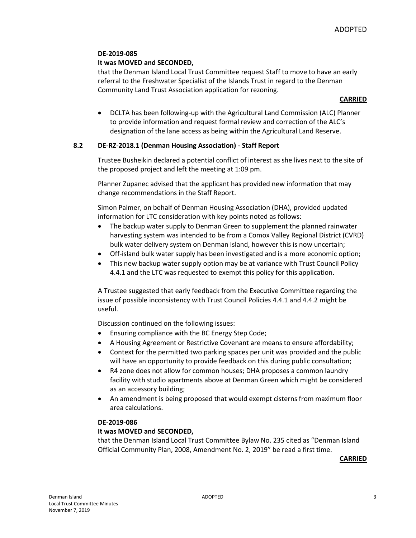# **DE-2019-085**

# **It was MOVED and SECONDED,**

that the Denman Island Local Trust Committee request Staff to move to have an early referral to the Freshwater Specialist of the Islands Trust in regard to the Denman Community Land Trust Association application for rezoning.

## **CARRIED**

 DCLTA has been following-up with the Agricultural Land Commission (ALC) Planner to provide information and request formal review and correction of the ALC's designation of the lane access as being within the Agricultural Land Reserve.

# **8.2 DE-RZ-2018.1 (Denman Housing Association) - Staff Report**

Trustee Busheikin declared a potential conflict of interest as she lives next to the site of the proposed project and left the meeting at 1:09 pm.

Planner Zupanec advised that the applicant has provided new information that may change recommendations in the Staff Report.

Simon Palmer, on behalf of Denman Housing Association (DHA), provided updated information for LTC consideration with key points noted as follows:

- The backup water supply to Denman Green to supplement the planned rainwater harvesting system was intended to be from a Comox Valley Regional District (CVRD) bulk water delivery system on Denman Island, however this is now uncertain;
- Off-island bulk water supply has been investigated and is a more economic option;
- This new backup water supply option may be at variance with Trust Council Policy 4.4.1 and the LTC was requested to exempt this policy for this application.

A Trustee suggested that early feedback from the Executive Committee regarding the issue of possible inconsistency with Trust Council Policies 4.4.1 and 4.4.2 might be useful.

Discussion continued on the following issues:

- Ensuring compliance with the BC Energy Step Code;
- A Housing Agreement or Restrictive Covenant are means to ensure affordability;
- Context for the permitted two parking spaces per unit was provided and the public will have an opportunity to provide feedback on this during public consultation;
- R4 zone does not allow for common houses; DHA proposes a common laundry facility with studio apartments above at Denman Green which might be considered as an accessory building;
- An amendment is being proposed that would exempt cisterns from maximum floor area calculations.

## **DE-2019-086**

## **It was MOVED and SECONDED,**

that the Denman Island Local Trust Committee Bylaw No. 235 cited as "Denman Island Official Community Plan, 2008, Amendment No. 2, 2019" be read a first time.

**CARRIED**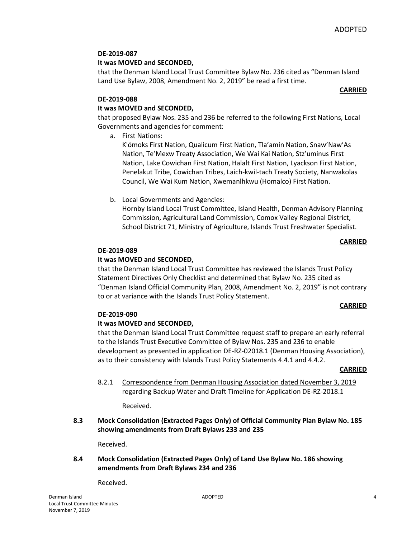**CARRIED**

# **DE-2019-087**

# **It was MOVED and SECONDED,**

that the Denman Island Local Trust Committee Bylaw No. 236 cited as "Denman Island Land Use Bylaw, 2008, Amendment No. 2, 2019" be read a first time.

## **DE-2019-088**

# **It was MOVED and SECONDED,**

that proposed Bylaw Nos. 235 and 236 be referred to the following First Nations, Local Governments and agencies for comment:

a. First Nations:

K'ómoks First Nation, Qualicum First Nation, Tla'amin Nation, Snaw'Naw'As Nation, Te'Mexw Treaty Association, We Wai Kai Nation, Stz'uminus First Nation, Lake Cowichan First Nation, Halalt First Nation, Lyackson First Nation, Penelakut Tribe, Cowichan Tribes, Laich-kwil-tach Treaty Society, Nanwakolas Council, We Wai Kum Nation, Xwemanlhkwu (Homalco) First Nation.

b. Local Governments and Agencies:

Hornby Island Local Trust Committee, Island Health, Denman Advisory Planning Commission, Agricultural Land Commission, Comox Valley Regional District, School District 71, Ministry of Agriculture, Islands Trust Freshwater Specialist.

### **CARRIED**

## **DE-2019-089**

# **It was MOVED and SECONDED,**

that the Denman Island Local Trust Committee has reviewed the Islands Trust Policy Statement Directives Only Checklist and determined that Bylaw No. 235 cited as "Denman Island Official Community Plan, 2008, Amendment No. 2, 2019" is not contrary to or at variance with the Islands Trust Policy Statement.

## **CARRIED**

## **DE-2019-090**

# **It was MOVED and SECONDED,**

that the Denman Island Local Trust Committee request staff to prepare an early referral to the Islands Trust Executive Committee of Bylaw Nos. 235 and 236 to enable development as presented in application DE-RZ-02018.1 (Denman Housing Association), as to their consistency with Islands Trust Policy Statements 4.4.1 and 4.4.2.

#### **CARRIED**

8.2.1 Correspondence from Denman Housing Association dated November 3, 2019 regarding Backup Water and Draft Timeline for Application DE-RZ-2018.1

Received.

**8.3 Mock Consolidation (Extracted Pages Only) of Official Community Plan Bylaw No. 185 showing amendments from Draft Bylaws 233 and 235** 

Received.

# **8.4 Mock Consolidation (Extracted Pages Only) of Land Use Bylaw No. 186 showing amendments from Draft Bylaws 234 and 236**

Received.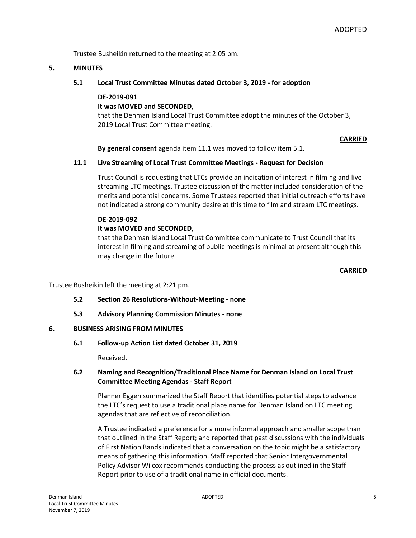Trustee Busheikin returned to the meeting at 2:05 pm.

### **5. MINUTES**

**5.1 Local Trust Committee Minutes dated October 3, 2019 - for adoption**

#### **DE-2019-091**

# **It was MOVED and SECONDED,**

that the Denman Island Local Trust Committee adopt the minutes of the October 3, 2019 Local Trust Committee meeting.

### **CARRIED**

**By general consent** agenda item 11.1 was moved to follow item 5.1.

## **11.1 Live Streaming of Local Trust Committee Meetings - Request for Decision**

Trust Council is requesting that LTCs provide an indication of interest in filming and live streaming LTC meetings. Trustee discussion of the matter included consideration of the merits and potential concerns. Some Trustees reported that initial outreach efforts have not indicated a strong community desire at this time to film and stream LTC meetings.

### **DE-2019-092**

## **It was MOVED and SECONDED,**

that the Denman Island Local Trust Committee communicate to Trust Council that its interest in filming and streaming of public meetings is minimal at present although this may change in the future.

#### **CARRIED**

Trustee Busheikin left the meeting at 2:21 pm.

- **5.2 Section 26 Resolutions-Without-Meeting - none**
- **5.3 Advisory Planning Commission Minutes - none**

## **6. BUSINESS ARISING FROM MINUTES**

**6.1 Follow-up Action List dated October 31, 2019**

Received.

# **6.2 Naming and Recognition/Traditional Place Name for Denman Island on Local Trust Committee Meeting Agendas - Staff Report**

Planner Eggen summarized the Staff Report that identifies potential steps to advance the LTC's request to use a traditional place name for Denman Island on LTC meeting agendas that are reflective of reconciliation.

A Trustee indicated a preference for a more informal approach and smaller scope than that outlined in the Staff Report; and reported that past discussions with the individuals of First Nation Bands indicated that a conversation on the topic might be a satisfactory means of gathering this information. Staff reported that Senior Intergovernmental Policy Advisor Wilcox recommends conducting the process as outlined in the Staff Report prior to use of a traditional name in official documents.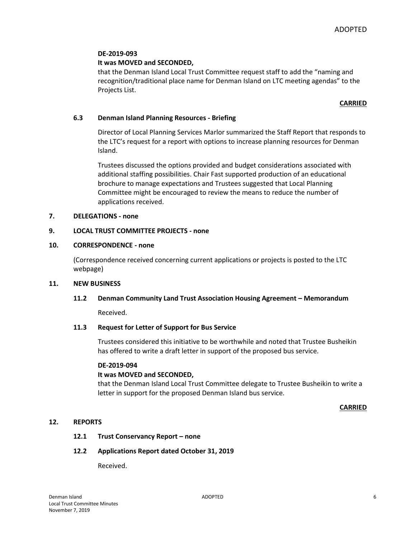## **DE-2019-093**

### **It was MOVED and SECONDED,**

that the Denman Island Local Trust Committee request staff to add the "naming and recognition/traditional place name for Denman Island on LTC meeting agendas" to the Projects List.

### **CARRIED**

## **6.3 Denman Island Planning Resources - Briefing**

Director of Local Planning Services Marlor summarized the Staff Report that responds to the LTC's request for a report with options to increase planning resources for Denman Island.

Trustees discussed the options provided and budget considerations associated with additional staffing possibilities. Chair Fast supported production of an educational brochure to manage expectations and Trustees suggested that Local Planning Committee might be encouraged to review the means to reduce the number of applications received.

### **7. DELEGATIONS - none**

### **9. LOCAL TRUST COMMITTEE PROJECTS - none**

#### **10. CORRESPONDENCE - none**

(Correspondence received concerning current applications or projects is posted to the LTC webpage)

#### **11. NEW BUSINESS**

#### **11.2 Denman Community Land Trust Association Housing Agreement – Memorandum**

Received.

#### **11.3 Request for Letter of Support for Bus Service**

Trustees considered this initiative to be worthwhile and noted that Trustee Busheikin has offered to write a draft letter in support of the proposed bus service.

#### **DE-2019-094**

#### **It was MOVED and SECONDED,**

that the Denman Island Local Trust Committee delegate to Trustee Busheikin to write a letter in support for the proposed Denman Island bus service.

#### **CARRIED**

# **12. REPORTS**

#### **12.1 Trust Conservancy Report – none**

#### **12.2 Applications Report dated October 31, 2019**

Received.